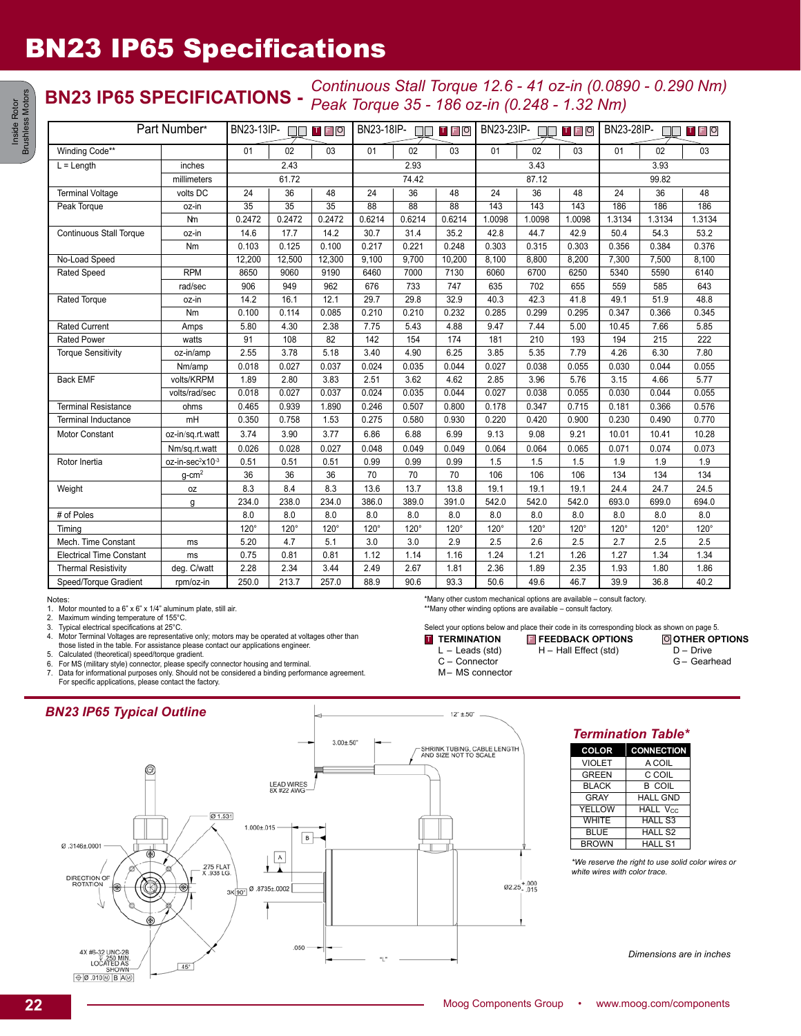## BN23 IP65 Specifications

# **BN23 IP65 SPECIFICATIONS -** *Continuous Stall Torque 12.6 - 41 oz-in (0.0890 - 0.290 Nm) Peak Torque 35 - 186 oz-in (0.248 - 1.32 Nm)*

| Part Number*                    |                              | BN23-13IP-<br><b>TFO</b><br><b>TITLE</b> |                 | BN23-18IP-<br>TFO |                 | BN23-23IP-<br>$\mathsf T$ $\mathsf F$ $\mathsf O$<br>$\Box$ |                 | BN23-28IP-<br>TFO |        |        |        |        |             |
|---------------------------------|------------------------------|------------------------------------------|-----------------|-------------------|-----------------|-------------------------------------------------------------|-----------------|-------------------|--------|--------|--------|--------|-------------|
| Winding Code**                  |                              | 01                                       | 02              | 03                | 01              | 02                                                          | 03              | 01                | 02     | 03     | 01     | 02     | 03          |
| $L = Length$                    | inches                       | 2.43                                     |                 | 2.93              |                 | 3.43                                                        |                 |                   | 3.93   |        |        |        |             |
|                                 | millimeters                  | 61.72                                    |                 | 74.42             |                 |                                                             | 87.12           |                   |        | 99.82  |        |        |             |
| <b>Terminal Voltage</b>         | volts DC                     | 24                                       | 36              | 48                | 24              | 36                                                          | 48              | 24                | 36     | 48     | 24     | 36     | 48          |
| Peak Torque                     | oz-in                        | $\overline{35}$                          | $\overline{35}$ | $\overline{35}$   | $\overline{88}$ | $\overline{88}$                                             | $\overline{88}$ | 143               | 143    | 143    | 186    | 186    | 186         |
|                                 | Nm                           | 0.2472                                   | 0.2472          | 0.2472            | 0.6214          | 0.6214                                                      | 0.6214          | 1.0098            | 1.0098 | 1.0098 | 1.3134 | 1.3134 | 1.3134      |
| <b>Continuous Stall Torque</b>  | oz-in                        | 14.6                                     | 17.7            | 14.2              | 30.7            | 31.4                                                        | 35.2            | 42.8              | 44.7   | 42.9   | 50.4   | 54.3   | 53.2        |
|                                 | Nm                           | 0.103                                    | 0.125           | 0.100             | 0.217           | 0.221                                                       | 0.248           | 0.303             | 0.315  | 0.303  | 0.356  | 0.384  | 0.376       |
| No-Load Speed                   |                              | 12,200                                   | 12,500          | 12,300            | 9,100           | 9,700                                                       | 10,200          | 8,100             | 8,800  | 8,200  | 7,300  | 7,500  | 8,100       |
| <b>Rated Speed</b>              | <b>RPM</b>                   | 8650                                     | 9060            | 9190              | 6460            | 7000                                                        | 7130            | 6060              | 6700   | 6250   | 5340   | 5590   | 6140        |
|                                 | rad/sec                      | 906                                      | 949             | 962               | 676             | 733                                                         | 747             | 635               | 702    | 655    | 559    | 585    | 643         |
| Rated Torque                    | oz-in                        | 14.2                                     | 16.1            | 12.1              | 29.7            | 29.8                                                        | 32.9            | 40.3              | 42.3   | 41.8   | 49.1   | 51.9   | 48.8        |
|                                 | Nm                           | 0.100                                    | 0.114           | 0.085             | 0.210           | 0.210                                                       | 0.232           | 0.285             | 0.299  | 0.295  | 0.347  | 0.366  | 0.345       |
| <b>Rated Current</b>            | Amps                         | 5.80                                     | 4.30            | 2.38              | 7.75            | 5.43                                                        | 4.88            | 9.47              | 7.44   | 5.00   | 10.45  | 7.66   | 5.85        |
| <b>Rated Power</b>              | watts                        | 91                                       | 108             | 82                | 142             | 154                                                         | 174             | 181               | 210    | 193    | 194    | 215    | 222         |
| <b>Torque Sensitivity</b>       | oz-in/amp                    | 2.55                                     | 3.78            | 5.18              | 3.40            | 4.90                                                        | 6.25            | 3.85              | 5.35   | 7.79   | 4.26   | 6.30   | 7.80        |
|                                 | Nm/amp                       | 0.018                                    | 0.027           | 0.037             | 0.024           | 0.035                                                       | 0.044           | 0.027             | 0.038  | 0.055  | 0.030  | 0.044  | 0.055       |
| <b>Back EMF</b>                 | volts/KRPM                   | 1.89                                     | 2.80            | 3.83              | 2.51            | 3.62                                                        | 4.62            | 2.85              | 3.96   | 5.76   | 3.15   | 4.66   | 5.77        |
|                                 | volts/rad/sec                | 0.018                                    | 0.027           | 0.037             | 0.024           | 0.035                                                       | 0.044           | 0.027             | 0.038  | 0.055  | 0.030  | 0.044  | 0.055       |
| <b>Terminal Resistance</b>      | ohms                         | 0.465                                    | 0.939           | 1.890             | 0.246           | 0.507                                                       | 0.800           | 0.178             | 0.347  | 0.715  | 0.181  | 0.366  | 0.576       |
| <b>Terminal Inductance</b>      | mH                           | 0.350                                    | 0.758           | 1.53              | 0.275           | 0.580                                                       | 0.930           | 0.220             | 0.420  | 0.900  | 0.230  | 0.490  | 0.770       |
| <b>Motor Constant</b>           | oz-in/sq.rt.watt             | 3.74                                     | 3.90            | 3.77              | 6.86            | 6.88                                                        | 6.99            | 9.13              | 9.08   | 9.21   | 10.01  | 10.41  | 10.28       |
|                                 | Nm/sq.rt.watt                | 0.026                                    | 0.028           | 0.027             | 0.048           | 0.049                                                       | 0.049           | 0.064             | 0.064  | 0.065  | 0.071  | 0.074  | 0.073       |
| Rotor Inertia                   | oz-in-sec <sup>2</sup> x10-3 | 0.51                                     | 0.51            | 0.51              | 0.99            | 0.99                                                        | 0.99            | 1.5               | 1.5    | 1.5    | 1.9    | 1.9    | 1.9         |
|                                 | $g$ -cm <sup>2</sup>         | 36                                       | 36              | 36                | 70              | 70                                                          | 70              | 106               | 106    | 106    | 134    | 134    | 134         |
| Weight                          | 0Z                           | 8.3                                      | 8.4             | 8.3               | 13.6            | 13.7                                                        | 13.8            | 19.1              | 19.1   | 19.1   | 24.4   | 24.7   | 24.5        |
|                                 | g                            | 234.0                                    | 238.0           | 234.0             | 386.0           | 389.0                                                       | 391.0           | 542.0             | 542.0  | 542.0  | 693.0  | 699.0  | 694.0       |
| # of Poles                      |                              | 8.0                                      | 8.0             | 8.0               | 8.0             | 8.0                                                         | 8.0             | 8.0               | 8.0    | 8.0    | 8.0    | 8.0    | 8.0         |
| Timing                          |                              | $120^\circ$                              | $120^\circ$     | $120^\circ$       | 120°            | $120^\circ$                                                 | $120^\circ$     | $120^\circ$       | 120°   | 120°   | 120°   | 120°   | $120^\circ$ |
| Mech. Time Constant             | ms                           | 5.20                                     | 4.7             | 5.1               | 3.0             | 3.0                                                         | 2.9             | 2.5               | 2.6    | 2.5    | 2.7    | 2.5    | 2.5         |
| <b>Electrical Time Constant</b> | ms                           | 0.75                                     | 0.81            | 0.81              | 1.12            | 1.14                                                        | 1.16            | 1.24              | 1.21   | 1.26   | 1.27   | 1.34   | 1.34        |
| <b>Thermal Resistivity</b>      | deg. C/watt                  | 2.28                                     | 2.34            | 3.44              | 2.49            | 2.67                                                        | 1.81            | 2.36              | 1.89   | 2.35   | 1.93   | 1.80   | 1.86        |
| Speed/Torque Gradient           | rpm/oz-in                    | 250.0                                    | 213.7           | 257.0             | 88.9            | 90.6                                                        | 93.3            | 50.6              | 49.6   | 46.7   | 39.9   | 36.8   | 40.2        |

#### Notes:

1. Motor mounted to a 6" x 6" x 1/4" aluminum plate, still air.<br>2. Maximum winding temperature of 155°C.

2. Maximum winding temperature of 155°C.<br>3. Typical electrical specifications at 25°C. Typical electrical specifications at 25°C.

4. Motor Terminal Voltages are representative only; motors may be operated at voltages other than

those listed in the table. For assistance please contact our applications engineer.

5. Calculated (theoretical) speed/torque gradient.

6. For MS (military style) connector, please specify connector housing and terminal. 7. Data for informational purposes only. Should not be considered a binding performance agreement. For specific applications, please contact the factory.

### *BN23 IP65 Typical Outline*



\*Many other custom mechanical options are available – consult factory. \*\*Many other winding options are available – consult factory.

Select your options below and place their code in its corresponding block as shown on page 5.<br> **I** TERMINATION **E** FEEDBACK OPTIONS © OTHER OP

| <b>TERMINATION</b> | <b>E</b> FEEDBACK OPTIONS | O OTHER OPTIONS |
|--------------------|---------------------------|-----------------|
| $L -$ Leads (std)  | H - Hall Effect (std)     | $D - Drive$     |
| C - Connector      |                           | G- Gearhead     |

M– MS connector

*Termination Table\**

| <b>COLOR</b>  | <b>CONNECTION</b>   |
|---------------|---------------------|
| <b>VIOLET</b> | A COIL              |
| <b>GREEN</b>  | C COIL              |
| <b>BLACK</b>  | B COIL              |
| GRAY          | <b>HALL GND</b>     |
| YELLOW        | <b>HALL Vcc</b>     |
| <b>WHITE</b>  | <b>HALL S3</b>      |
| <b>BLUE</b>   | HALL S <sub>2</sub> |
| <b>BROWN</b>  | <b>HALL S1</b>      |

*\*We reserve the right to use solid color wires or white wires with color trace.*

*Dimensions are in inches*